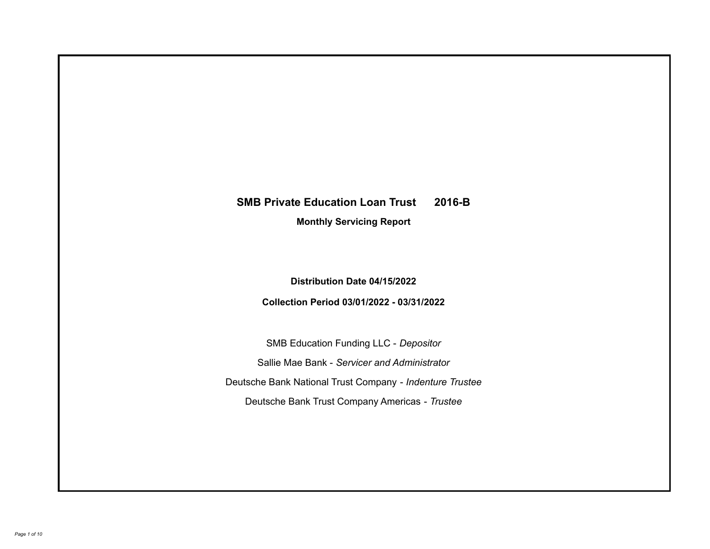# **SMB Private Education Loan Trust 2016-B**

**Monthly Servicing Report**

**Distribution Date 04/15/2022**

**Collection Period 03/01/2022 - 03/31/2022**

SMB Education Funding LLC - *Depositor* Sallie Mae Bank - *Servicer and Administrator* Deutsche Bank National Trust Company - *Indenture Trustee* Deutsche Bank Trust Company Americas - *Trustee*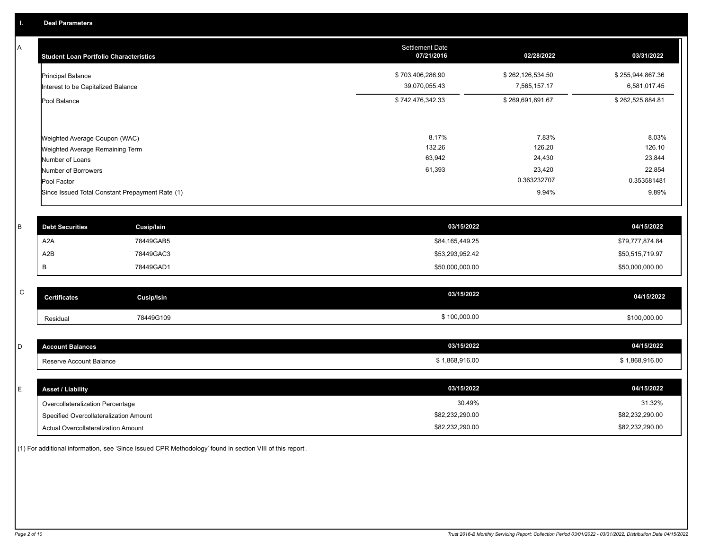A

| <b>Student Loan Portfolio Characteristics</b>                  | <b>Settlement Date</b><br>07/21/2016 | 02/28/2022                       | 03/31/2022                       |
|----------------------------------------------------------------|--------------------------------------|----------------------------------|----------------------------------|
| <b>Principal Balance</b><br>Interest to be Capitalized Balance | \$703,406,286.90<br>39,070,055.43    | \$262,126,534.50<br>7,565,157.17 | \$255,944,867.36<br>6,581,017.45 |
| Pool Balance                                                   | \$742,476,342.33                     | \$269,691,691.67                 | \$262,525,884.81                 |
| Weighted Average Coupon (WAC)                                  | 8.17%                                | 7.83%                            | 8.03%                            |
| Weighted Average Remaining Term                                | 132.26                               | 126.20                           | 126.10                           |
| Number of Loans                                                | 63,942                               | 24,430                           | 23,844                           |
| Number of Borrowers                                            | 61,393                               | 23,420                           | 22,854                           |
| Pool Factor                                                    |                                      | 0.363232707                      | 0.353581481                      |
| Since Issued Total Constant Prepayment Rate (1)                |                                      | 9.94%                            | 9.89%                            |

| <b>Debt Securities</b> | <b>Cusip/Isin</b> | 03/15/2022      | 04/15/2022      |
|------------------------|-------------------|-----------------|-----------------|
| A <sub>2</sub> A       | 78449GAB5         | \$84,165,449.25 | \$79,777,874.84 |
| A2B                    | 78449GAC3         | \$53,293,952.42 | \$50,515,719.97 |
|                        | 78449GAD1         | \$50,000,000.00 | \$50,000,000.00 |

| $\sim$<br>◡ | <b>Certificates</b> | Cusip/Isin | 03/15/2022   | 04/15/2022   |
|-------------|---------------------|------------|--------------|--------------|
|             | Residual            | 78449G109  | \$100,000.00 | \$100,000.00 |

| - | <b>Account Balances</b> | 03/15/2022   | 04/15/2022   |
|---|-------------------------|--------------|--------------|
|   | Reserve Account Balance | 1,868,916.00 | 1,868,916.00 |

| <b>Asset / Liability</b>               | 03/15/2022      | 04/15/2022      |
|----------------------------------------|-----------------|-----------------|
| Overcollateralization Percentage       | 30.49%          | 31.32%          |
| Specified Overcollateralization Amount | \$82,232,290.00 | \$82,232,290.00 |
| Actual Overcollateralization Amount    | \$82,232,290.00 | \$82,232,290.00 |

(1) For additional information, see 'Since Issued CPR Methodology' found in section VIII of this report .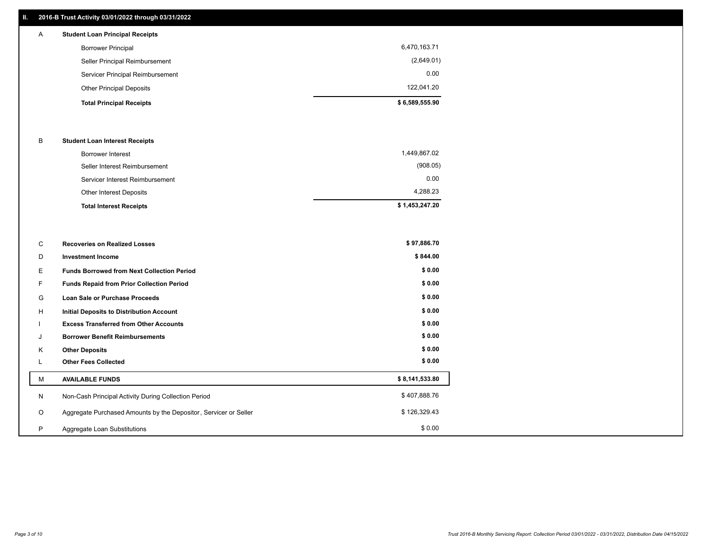## **II. 2016-B Trust Activity 03/01/2022 through 03/31/2022**

| A | <b>Student Loan Principal Receipts</b> |                |
|---|----------------------------------------|----------------|
|   | <b>Borrower Principal</b>              | 6,470,163.71   |
|   | Seller Principal Reimbursement         | (2,649.01)     |
|   | Servicer Principal Reimbursement       | 0.00           |
|   | <b>Other Principal Deposits</b>        | 122,041.20     |
|   | <b>Total Principal Receipts</b>        | \$6,589,555.90 |

#### B **Student Loan Interest Receipts**

| <b>Total Interest Receipts</b>  | \$1,453,247.20 |
|---------------------------------|----------------|
| Other Interest Deposits         | 4,288.23       |
| Servicer Interest Reimbursement | 0.00           |
| Seller Interest Reimbursement   | (908.05)       |
| Borrower Interest               | 1,449,867.02   |

| C       | <b>Recoveries on Realized Losses</b>                             | \$97,886.70    |
|---------|------------------------------------------------------------------|----------------|
| D       | <b>Investment Income</b>                                         | \$844.00       |
| Е.      | <b>Funds Borrowed from Next Collection Period</b>                | \$0.00         |
| F.      | Funds Repaid from Prior Collection Period                        | \$0.00         |
| G       | Loan Sale or Purchase Proceeds                                   | \$0.00         |
| H       | Initial Deposits to Distribution Account                         | \$0.00         |
|         | <b>Excess Transferred from Other Accounts</b>                    | \$0.00         |
| J       | <b>Borrower Benefit Reimbursements</b>                           | \$0.00         |
| K       | <b>Other Deposits</b>                                            | \$0.00         |
|         | <b>Other Fees Collected</b>                                      | \$0.00         |
| М       | <b>AVAILABLE FUNDS</b>                                           | \$8,141,533.80 |
| N       | Non-Cash Principal Activity During Collection Period             | \$407,888.76   |
| $\circ$ | Aggregate Purchased Amounts by the Depositor, Servicer or Seller | \$126,329.43   |
| P       | Aggregate Loan Substitutions                                     | \$0.00         |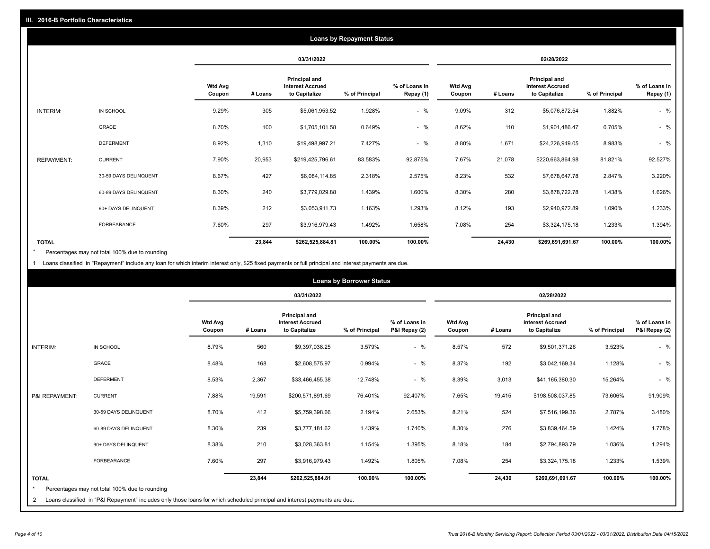|                   | <b>Loans by Repayment Status</b> |                          |         |                                                           |                |                            |                          |         |                                                           |                |                            |
|-------------------|----------------------------------|--------------------------|---------|-----------------------------------------------------------|----------------|----------------------------|--------------------------|---------|-----------------------------------------------------------|----------------|----------------------------|
|                   |                                  |                          |         | 03/31/2022                                                |                |                            |                          |         | 02/28/2022                                                |                |                            |
|                   |                                  | <b>Wtd Avg</b><br>Coupon | # Loans | Principal and<br><b>Interest Accrued</b><br>to Capitalize | % of Principal | % of Loans in<br>Repay (1) | <b>Wtd Avg</b><br>Coupon | # Loans | Principal and<br><b>Interest Accrued</b><br>to Capitalize | % of Principal | % of Loans in<br>Repay (1) |
| INTERIM:          | IN SCHOOL                        | 9.29%                    | 305     | \$5,061,953.52                                            | 1.928%         | $-$ %                      | 9.09%                    | 312     | \$5,076,872.54                                            | 1.882%         | $-$ %                      |
|                   | GRACE                            | 8.70%                    | 100     | \$1,705,101.58                                            | 0.649%         | $-$ %                      | 8.62%                    | 110     | \$1,901,486.47                                            | 0.705%         | $-$ %                      |
|                   | <b>DEFERMENT</b>                 | 8.92%                    | 1,310   | \$19,498,997.21                                           | 7.427%         | $-$ %                      | 8.80%                    | 1,671   | \$24,226,949.05                                           | 8.983%         | $-$ %                      |
| <b>REPAYMENT:</b> | <b>CURRENT</b>                   | 7.90%                    | 20,953  | \$219,425,796.61                                          | 83.583%        | 92.875%                    | 7.67%                    | 21,078  | \$220,663,864.98                                          | 81.821%        | 92.527%                    |
|                   | 30-59 DAYS DELINQUENT            | 8.67%                    | 427     | \$6,084,114.85                                            | 2.318%         | 2.575%                     | 8.23%                    | 532     | \$7,678,647.78                                            | 2.847%         | 3.220%                     |
|                   | 60-89 DAYS DELINQUENT            | 8.30%                    | 240     | \$3,779,029.88                                            | 1.439%         | 1.600%                     | 8.30%                    | 280     | \$3,878,722.78                                            | 1.438%         | 1.626%                     |
|                   | 90+ DAYS DELINQUENT              | 8.39%                    | 212     | \$3,053,911.73                                            | 1.163%         | 1.293%                     | 8.12%                    | 193     | \$2,940,972.89                                            | 1.090%         | 1.233%                     |
|                   | <b>FORBEARANCE</b>               | 7.60%                    | 297     | \$3,916,979.43                                            | 1.492%         | 1.658%                     | 7.08%                    | 254     | \$3,324,175.18                                            | 1.233%         | 1.394%                     |
| <b>TOTAL</b>      |                                  |                          | 23,844  | \$262,525,884.81                                          | 100.00%        | 100.00%                    |                          | 24,430  | \$269,691,691.67                                          | 100.00%        | 100.00%                    |

Percentages may not total 100% due to rounding \*

1 Loans classified in "Repayment" include any loan for which interim interest only, \$25 fixed payments or full principal and interest payments are due.

|                         |                                                                                                                            |                          |         |                                                                  | <b>Loans by Borrower Status</b> |                                |                          |         |                                                                  |                |                                |
|-------------------------|----------------------------------------------------------------------------------------------------------------------------|--------------------------|---------|------------------------------------------------------------------|---------------------------------|--------------------------------|--------------------------|---------|------------------------------------------------------------------|----------------|--------------------------------|
|                         |                                                                                                                            |                          |         | 03/31/2022                                                       |                                 |                                |                          |         | 02/28/2022                                                       |                |                                |
|                         |                                                                                                                            | <b>Wtd Avg</b><br>Coupon | # Loans | <b>Principal and</b><br><b>Interest Accrued</b><br>to Capitalize | % of Principal                  | % of Loans in<br>P&I Repay (2) | <b>Wtd Avg</b><br>Coupon | # Loans | <b>Principal and</b><br><b>Interest Accrued</b><br>to Capitalize | % of Principal | % of Loans in<br>P&I Repay (2) |
| <b>INTERIM:</b>         | IN SCHOOL                                                                                                                  | 8.79%                    | 560     | \$9,397,038.25                                                   | 3.579%                          | $-$ %                          | 8.57%                    | 572     | \$9,501,371.26                                                   | 3.523%         | $-$ %                          |
|                         | <b>GRACE</b>                                                                                                               | 8.48%                    | 168     | \$2,608,575.97                                                   | 0.994%                          | $-$ %                          | 8.37%                    | 192     | \$3,042,169.34                                                   | 1.128%         | $-$ %                          |
|                         | <b>DEFERMENT</b>                                                                                                           | 8.53%                    | 2,367   | \$33,466,455.38                                                  | 12.748%                         | $-$ %                          | 8.39%                    | 3,013   | \$41,165,380.30                                                  | 15.264%        | $-$ %                          |
| P&I REPAYMENT:          | <b>CURRENT</b>                                                                                                             | 7.88%                    | 19,591  | \$200,571,891.69                                                 | 76.401%                         | 92.407%                        | 7.65%                    | 19,415  | \$198,508,037.85                                                 | 73.606%        | 91.909%                        |
|                         | 30-59 DAYS DELINQUENT                                                                                                      | 8.70%                    | 412     | \$5,759,398.66                                                   | 2.194%                          | 2.653%                         | 8.21%                    | 524     | \$7,516,199.36                                                   | 2.787%         | 3.480%                         |
|                         | 60-89 DAYS DELINQUENT                                                                                                      | 8.30%                    | 239     | \$3,777,181.62                                                   | 1.439%                          | 1.740%                         | 8.30%                    | 276     | \$3,839,464.59                                                   | 1.424%         | 1.778%                         |
|                         | 90+ DAYS DELINQUENT                                                                                                        | 8.38%                    | 210     | \$3,028,363.81                                                   | 1.154%                          | 1.395%                         | 8.18%                    | 184     | \$2,794,893.79                                                   | 1.036%         | 1.294%                         |
|                         | <b>FORBEARANCE</b>                                                                                                         | 7.60%                    | 297     | \$3,916,979.43                                                   | 1.492%                          | 1.805%                         | 7.08%                    | 254     | \$3,324,175.18                                                   | 1.233%         | 1.539%                         |
| <b>TOTAL</b><br>$\star$ | Percentages may not total 100% due to rounding                                                                             |                          | 23,844  | \$262,525,884.81                                                 | 100.00%                         | 100.00%                        |                          | 24,430  | \$269,691,691.67                                                 | 100.00%        | 100.00%                        |
| 2                       | Loans classified in "P&I Repayment" includes only those loans for which scheduled principal and interest payments are due. |                          |         |                                                                  |                                 |                                |                          |         |                                                                  |                |                                |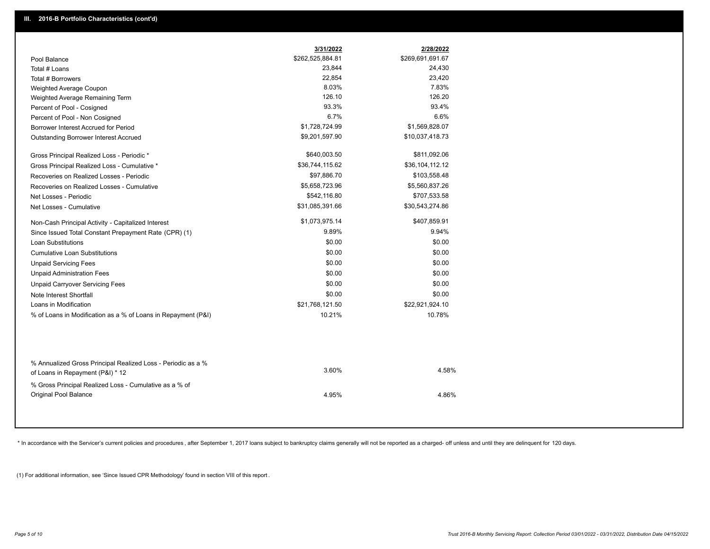|                                                                                                  | 3/31/2022        | 2/28/2022        |
|--------------------------------------------------------------------------------------------------|------------------|------------------|
| Pool Balance                                                                                     | \$262,525,884.81 | \$269,691,691.67 |
| Total # Loans                                                                                    | 23,844           | 24,430           |
| Total # Borrowers                                                                                | 22,854           | 23,420           |
| Weighted Average Coupon                                                                          | 8.03%            | 7.83%            |
| Weighted Average Remaining Term                                                                  | 126.10           | 126.20           |
| Percent of Pool - Cosigned                                                                       | 93.3%            | 93.4%            |
| Percent of Pool - Non Cosigned                                                                   | 6.7%             | 6.6%             |
| Borrower Interest Accrued for Period                                                             | \$1,728,724.99   | \$1,569,828.07   |
| Outstanding Borrower Interest Accrued                                                            | \$9,201,597.90   | \$10,037,418.73  |
| Gross Principal Realized Loss - Periodic *                                                       | \$640,003.50     | \$811,092.06     |
| Gross Principal Realized Loss - Cumulative *                                                     | \$36,744,115.62  | \$36,104,112.12  |
| Recoveries on Realized Losses - Periodic                                                         | \$97,886.70      | \$103,558.48     |
| Recoveries on Realized Losses - Cumulative                                                       | \$5,658,723.96   | \$5,560,837.26   |
| Net Losses - Periodic                                                                            | \$542,116.80     | \$707,533.58     |
| Net Losses - Cumulative                                                                          | \$31,085,391.66  | \$30,543,274.86  |
| Non-Cash Principal Activity - Capitalized Interest                                               | \$1,073,975.14   | \$407,859.91     |
| Since Issued Total Constant Prepayment Rate (CPR) (1)                                            | 9.89%            | 9.94%            |
| <b>Loan Substitutions</b>                                                                        | \$0.00           | \$0.00           |
| <b>Cumulative Loan Substitutions</b>                                                             | \$0.00           | \$0.00           |
| <b>Unpaid Servicing Fees</b>                                                                     | \$0.00           | \$0.00           |
| <b>Unpaid Administration Fees</b>                                                                | \$0.00           | \$0.00           |
| <b>Unpaid Carryover Servicing Fees</b>                                                           | \$0.00           | \$0.00           |
| Note Interest Shortfall                                                                          | \$0.00           | \$0.00           |
| Loans in Modification                                                                            | \$21,768,121.50  | \$22,921,924.10  |
| % of Loans in Modification as a % of Loans in Repayment (P&I)                                    | 10.21%           | 10.78%           |
|                                                                                                  |                  |                  |
| % Annualized Gross Principal Realized Loss - Periodic as a %<br>of Loans in Repayment (P&I) * 12 | 3.60%            | 4.58%            |
| % Gross Principal Realized Loss - Cumulative as a % of<br><b>Original Pool Balance</b>           | 4.95%            | 4.86%            |

\* In accordance with the Servicer's current policies and procedures, after September 1, 2017 loans subject to bankruptcy claims generally will not be reported as a charged- off unless and until they are delinquent for 120

(1) For additional information, see 'Since Issued CPR Methodology' found in section VIII of this report .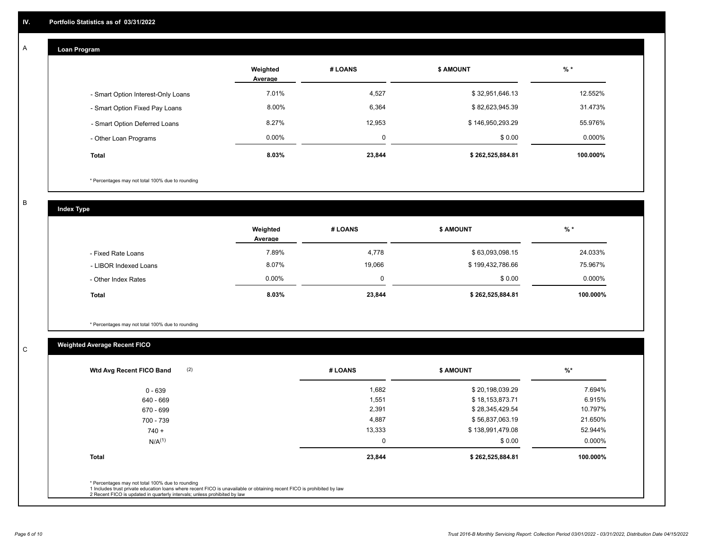### **Loan Program**

A

|                                    | Weighted<br>Average | # LOANS  | <b>\$ AMOUNT</b> | $%$ *     |
|------------------------------------|---------------------|----------|------------------|-----------|
| - Smart Option Interest-Only Loans | 7.01%               | 4,527    | \$32,951,646.13  | 12.552%   |
| - Smart Option Fixed Pay Loans     | 8.00%               | 6,364    | \$82,623,945.39  | 31.473%   |
| - Smart Option Deferred Loans      | 8.27%               | 12,953   | \$146,950,293.29 | 55.976%   |
| - Other Loan Programs              | $0.00\%$            | $\Omega$ | \$0.00           | $0.000\%$ |
| <b>Total</b>                       | 8.03%               | 23,844   | \$262,525,884.81 | 100.000%  |

\* Percentages may not total 100% due to rounding

B

C

**Index Type**

|                       | Weighted<br>Average | # LOANS | \$ AMOUNT        | $%$ *    |
|-----------------------|---------------------|---------|------------------|----------|
| - Fixed Rate Loans    | 7.89%               | 4,778   | \$63,093,098.15  | 24.033%  |
| - LIBOR Indexed Loans | 8.07%               | 19,066  | \$199,432,786.66 | 75.967%  |
| - Other Index Rates   | 0.00%               |         | \$0.00           | 0.000%   |
| <b>Total</b>          | 8.03%               | 23,844  | \$262,525,884.81 | 100.000% |

\* Percentages may not total 100% due to rounding

## **Weighted Average Recent FICO**

| (2)<br>Wtd Avg Recent FICO Band                                                                                                                                                                                                                          | # LOANS | <b>\$ AMOUNT</b> | %         |
|----------------------------------------------------------------------------------------------------------------------------------------------------------------------------------------------------------------------------------------------------------|---------|------------------|-----------|
| $0 - 639$                                                                                                                                                                                                                                                | 1,682   | \$20,198,039.29  | 7.694%    |
| 640 - 669                                                                                                                                                                                                                                                | 1,551   | \$18,153,873.71  | 6.915%    |
| 670 - 699                                                                                                                                                                                                                                                | 2,391   | \$28,345,429.54  | 10.797%   |
| 700 - 739                                                                                                                                                                                                                                                | 4,887   | \$56,837,063.19  | 21.650%   |
| $740 +$                                                                                                                                                                                                                                                  | 13,333  | \$138,991,479.08 | 52.944%   |
| N/A <sup>(1)</sup>                                                                                                                                                                                                                                       | 0       | \$0.00           | $0.000\%$ |
| <b>Total</b>                                                                                                                                                                                                                                             | 23,844  | \$262,525,884.81 | 100.000%  |
| * Percentages may not total 100% due to rounding<br>1 Includes trust private education loans where recent FICO is unavailable or obtaining recent FICO is prohibited by law<br>2 Recent FICO is updated in quarterly intervals; unless prohibited by law |         |                  |           |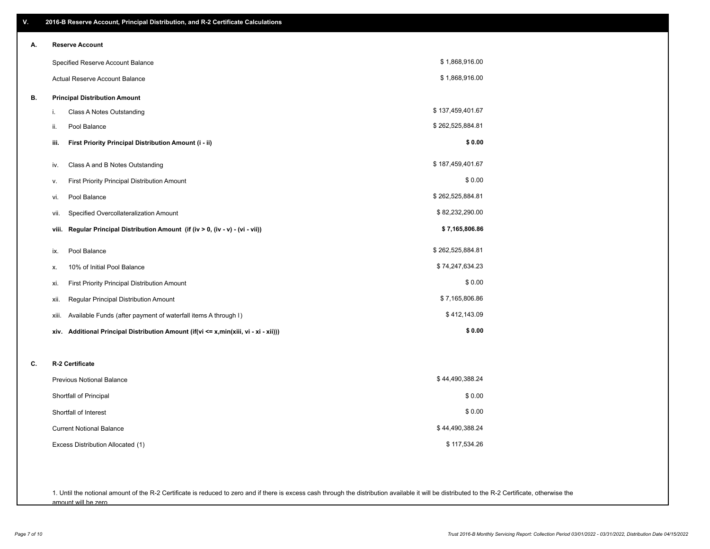| V. | 2016-B Reserve Account, Principal Distribution, and R-2 Certificate Calculations     |                  |
|----|--------------------------------------------------------------------------------------|------------------|
| А. | <b>Reserve Account</b>                                                               |                  |
|    | Specified Reserve Account Balance                                                    | \$1,868,916.00   |
|    | Actual Reserve Account Balance                                                       | \$1,868,916.00   |
| В. | <b>Principal Distribution Amount</b>                                                 |                  |
|    | Class A Notes Outstanding<br>i.                                                      | \$137,459,401.67 |
|    | Pool Balance<br>ii.                                                                  | \$262,525,884.81 |
|    | First Priority Principal Distribution Amount (i - ii)<br>iii.                        | \$0.00           |
|    | Class A and B Notes Outstanding<br>iv.                                               | \$187,459,401.67 |
|    | First Priority Principal Distribution Amount<br>ν.                                   | \$0.00           |
|    | Pool Balance<br>vi.                                                                  | \$262,525,884.81 |
|    | Specified Overcollateralization Amount<br>vii.                                       | \$82,232,290.00  |
|    | Regular Principal Distribution Amount (if (iv > 0, (iv - v) - (vi - vii))<br>viii.   | \$7,165,806.86   |
|    | Pool Balance<br>ix.                                                                  | \$262,525,884.81 |
|    | 10% of Initial Pool Balance<br>х.                                                    | \$74,247,634.23  |
|    | First Priority Principal Distribution Amount<br>xi.                                  | \$0.00           |
|    | Regular Principal Distribution Amount<br>xii.                                        | \$7,165,806.86   |
|    | Available Funds (after payment of waterfall items A through I)<br>xiii.              | \$412,143.09     |
|    | xiv. Additional Principal Distribution Amount (if(vi <= x,min(xiii, vi - xi - xii))) | \$0.00           |
|    |                                                                                      |                  |
| C. | R-2 Certificate<br><b>Previous Notional Balance</b>                                  | \$44,490,388.24  |
|    | Shortfall of Principal                                                               | \$0.00           |
|    | Shortfall of Interest                                                                | \$0.00           |
|    | <b>Current Notional Balance</b>                                                      | \$44,490,388.24  |
|    | Excess Distribution Allocated (1)                                                    | \$117,534.26     |
|    |                                                                                      |                  |
|    |                                                                                      |                  |

1. Until the notional amount of the R-2 Certificate is reduced to zero and if there is excess cash through the distribution available it will be distributed to the R-2 Certificate, otherwise the amount will be zero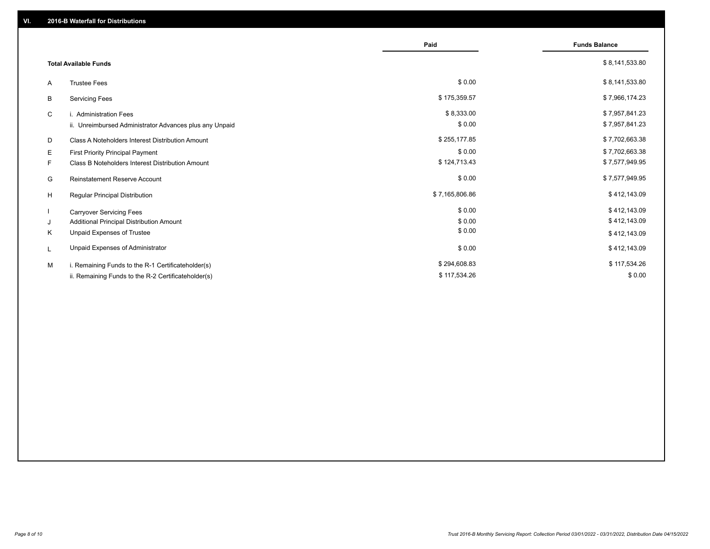|                                                         | Paid           | <b>Funds Balance</b> |
|---------------------------------------------------------|----------------|----------------------|
| <b>Total Available Funds</b>                            |                | \$8,141,533.80       |
| <b>Trustee Fees</b><br>A                                | \$0.00         | \$8,141,533.80       |
| В<br><b>Servicing Fees</b>                              | \$175,359.57   | \$7,966,174.23       |
| C<br>i. Administration Fees                             | \$8,333.00     | \$7,957,841.23       |
| ii. Unreimbursed Administrator Advances plus any Unpaid | \$0.00         | \$7,957,841.23       |
| D<br>Class A Noteholders Interest Distribution Amount   | \$255,177.85   | \$7,702,663.38       |
| Е<br>First Priority Principal Payment                   | \$0.00         | \$7,702,663.38       |
| Class B Noteholders Interest Distribution Amount<br>F.  | \$124,713.43   | \$7,577,949.95       |
| <b>Reinstatement Reserve Account</b><br>G               | \$0.00         | \$7,577,949.95       |
| H<br>Regular Principal Distribution                     | \$7,165,806.86 | \$412,143.09         |
| <b>Carryover Servicing Fees</b>                         | \$0.00         | \$412,143.09         |
| Additional Principal Distribution Amount<br>J           | \$0.00         | \$412,143.09         |
| Κ<br>Unpaid Expenses of Trustee                         | \$0.00         | \$412,143.09         |
| Unpaid Expenses of Administrator<br>L                   | \$0.00         | \$412,143.09         |
| M<br>i. Remaining Funds to the R-1 Certificateholder(s) | \$294,608.83   | \$117,534.26         |
| ii. Remaining Funds to the R-2 Certificateholder(s)     | \$117,534.26   | \$0.00               |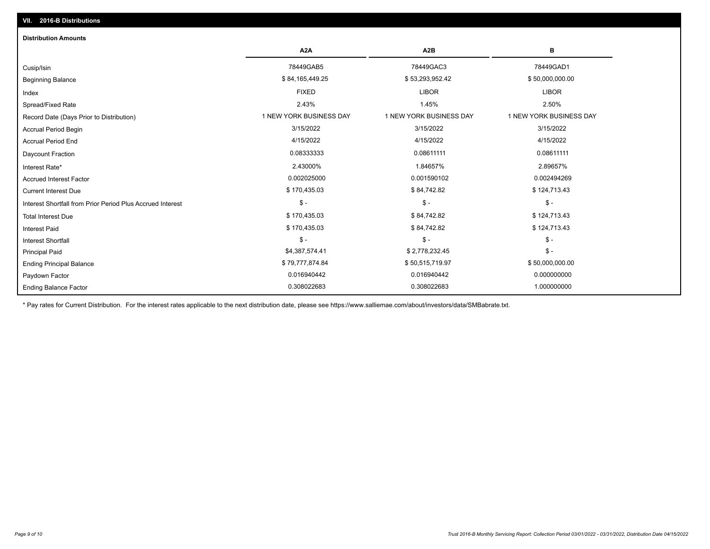## Ending Balance Factor Paydown Factor 0.016940442 0.016940442 0.000000000 Ending Principal Balance \$5,000,000.00 \$79,777,874.84 \$50,515,719.97 \$50,515,719.97 ـ \$4,387,574.41 \$ 2,778,232.45 \$ 2,778,232.45 \$ − \$54,387,574.41 \$ 2,778,232.45 \$ 2,778,232.45 \$ - \$ - \$ - Interest Shortfall \$ 170,435.03 \$ 84,742.82 \$ 124,713.43 Interest Paid Total Interest Due \$ 170,435.03 \$ 84,742.82 \$ 124,713.43 \$ - \$ - \$ - Interest Shortfall from Prior Period Plus Accrued Interest Current Interest Due \$ 170,435.03 \$ 84,742.82 \$ 124,713.43 Accrued Interest Factor 0.002025000 0.001590102 0.002494269 Interest Rate\* 2.43000% 1.84657% 2.89657% Daycount Fraction 0.08333333 0.08611111 0.08611111 Accrual Period End 4/15/2022 4/15/2022 4/15/2022 Accrual Period Begin 3/15/2022 3/15/2022 3/15/2022 Record Date (Days Prior to Distribution) **1 NEW YORK BUSINESS DAY** 1 NEW YORK BUSINESS DAY 1 NEW YORK BUSINESS DAY Spread/Fixed Rate 2.43% 1.45% 2.50% Index FIXED LIBOR LIBOR Beginning Balance \$ 84,165,449.25 \$ \$4,165,449.25 \$ \$4,165,449.25 \$ \$53,293,952.42 \$ \$50,000,000.00 Cusip/Isin 78449GAB5 78449GAC3 78449GAD1 **A2A A2B B** 0.308022683 0.308022683 1.000000000 **Distribution Amounts**

\* Pay rates for Current Distribution. For the interest rates applicable to the next distribution date, please see https://www.salliemae.com/about/investors/data/SMBabrate.txt.

**VII. 2016-B Distributions**